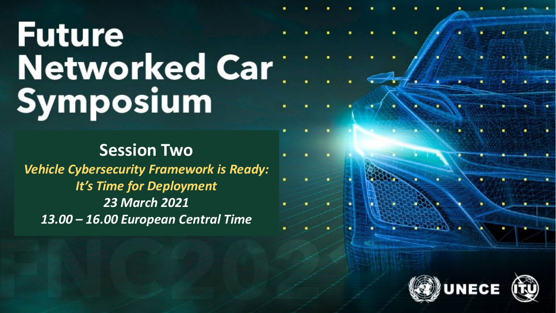# **Future Networked Car** Symposium

**Session Two** *Vehicle Cybersecurity Framework is Ready: It's Time for Deployment 23 March 2021 13.00 – 16.00 European Central Time*

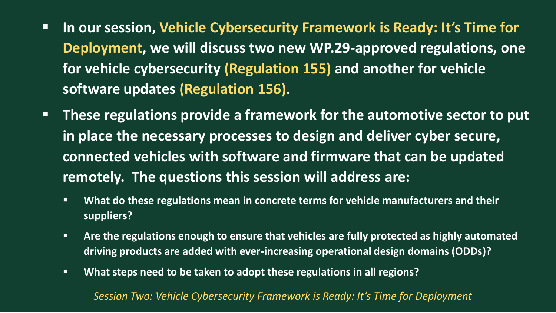- **In our session, Vehicle Cybersecurity Framework is Ready: It's Time for Deployment, we will discuss two new WP.29-approved regulations, one for vehicle cybersecurity (Regulation 155) and another for vehicle software updates (Regulation 156).**
- **These regulations provide a framework for the automotive sector to put in place the necessary processes to design and deliver cyber secure, connected vehicles with software and firmware that can be updated remotely. The questions this session will address are:**
	- What do these regulations mean in concrete terms for vehicle manufacturers and their **suppliers?**
	- **EXTE Are the regulations enough to ensure that vehicles are fully protected as highly automated driving products are added with ever-increasing operational design domains (ODDs)?**
	- **What steps need to be taken to adopt these regulations in all regions?**

*Session Two: Vehicle Cybersecurity Framework is Ready: It's Time for Deployment*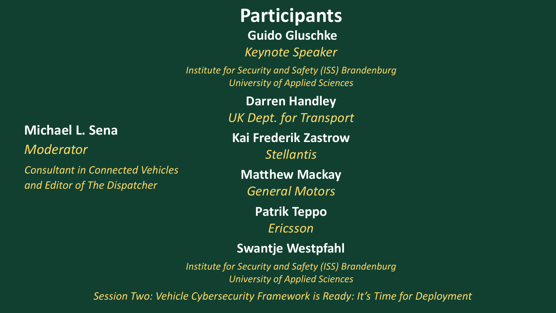#### **Michael L. Sena**

*Moderator*

*Consultant in Connected Vehicles and Editor of The Dispatcher*

## **Participants**

**Guido Gluschke**

*Keynote Speaker*

*Institute for Security and Safety (ISS) Brandenburg University of Applied Sciences*

**Darren Handley**

*UK Dept. for Transport*

**Kai Frederik Zastrow** *Stellantis*

**Matthew Mackay** *General Motors*

> **Patrik Teppo** *Ericsson*

### **Swantje Westpfahl**

*Institute for Security and Safety (ISS) Brandenburg University of Applied Sciences*

*Session Two: Vehicle Cybersecurity Framework is Ready: It's Time for Deployment*